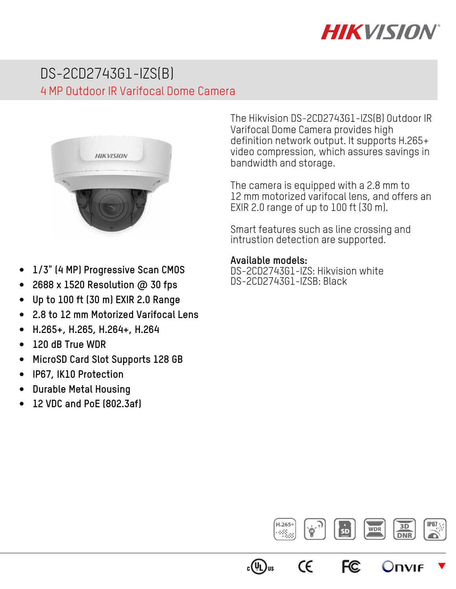

# DS-2CD2743G1-IZS(B) 4 MP Outdoor IR Varifocal Dome Camera



The Hikvision DS-2CD2743G1-IZS(B) Outdoor IR Varifocal Dome Camera provides high definition network output. It supports H.265+ video compression, which assures savings in bandwidth and storage.

The camera is equipped with a 2.8 mm to 12 mm motorized varifocal lens, and offers an EXIR 2.0 range of up to 100 ft (30 m).

Smart features such as line crossing and intrustion detection are supported.

#### **Available models:**

DS-2CD2743G1-IZS: Hikvision white DS-2CD2743G1-IZSB: Black

- **1/3" (4 MP) Progressive Scan CMOS**
- **2688 x 1520 Resolution @ 30 fps**
- **Up to 100 ft (30 m) EXIR 2.0 Range**
- **2.8 to 12 mm Motorized Varifocal Lens**
- **H.265+, H.265, H.264+, H.264**
- **120 dB True WDR**
- **MicroSD Card Slot Supports 128 GB**
- **IP67, IK10 Protection**
- **Durable Metal Housing**
- **12 VDC and PoE (802.3af)**



**FC** 

 $\epsilon$ 

 $_{\rm c}(\tt^{UL})$ us

 $\blacktriangledown$ 

Onvie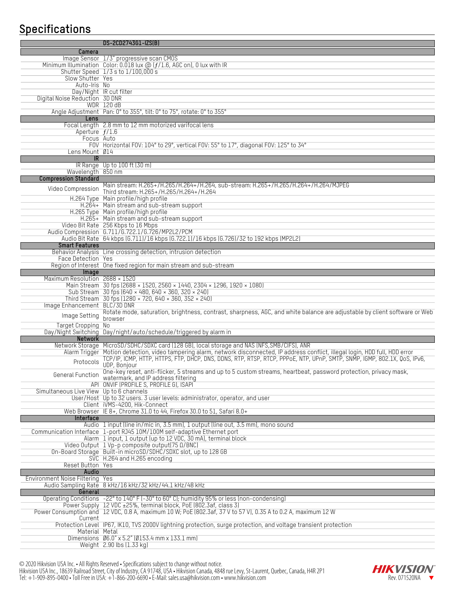## **Specifications**

|                                          | DS-2CD2743G1-IZS(B)                                                                                                                                     |
|------------------------------------------|---------------------------------------------------------------------------------------------------------------------------------------------------------|
| Camera                                   |                                                                                                                                                         |
|                                          | Image Sensor 1/3" progressive scan CMOS                                                                                                                 |
|                                          | Minimum Illumination Color: $0.018$ lux $@$ ( $f/1.6$ , AGC on), 0 lux with IR                                                                          |
|                                          | Shutter Speed 1/3 s to 1/100,000 s                                                                                                                      |
| Slow Shutter Yes                         |                                                                                                                                                         |
| Auto-Iris No                             |                                                                                                                                                         |
|                                          | Day/Night IR cut filter                                                                                                                                 |
| Digital Noise Reduction 3D DNR           | <b>WDR 120 dB</b>                                                                                                                                       |
|                                          | Angle Adjustment Pan: 0° to 355°, tilt: 0° to 75°, rotate: 0° to 355°                                                                                   |
| Lens                                     |                                                                                                                                                         |
|                                          | Focal Length 2.8 mm to 12 mm motorized varifocal lens                                                                                                   |
| Aperture $f/1.6$                         |                                                                                                                                                         |
|                                          | Focus Auto                                                                                                                                              |
|                                          | F0V Horizontal F0V: 104° to 29°, vertical F0V: 55° to 17°, diagonal F0V: 125° to 34°                                                                    |
| Lens Mount 014                           |                                                                                                                                                         |
| <b>IR</b>                                | IR Range Up to 100 ft (30 m)                                                                                                                            |
| Wavelength 850 nm                        |                                                                                                                                                         |
| <b>Compression Standard</b>              |                                                                                                                                                         |
|                                          | Main stream: H.265+/H.265/H.264+/H.264, sub-stream: H.265+/H.265/H.264+/H.264/MJPEG                                                                     |
| Video Compression                        | Third stream: H.265+/H.265/H.264+/H.264                                                                                                                 |
|                                          | H.264 Type Main profile/high profile                                                                                                                    |
|                                          | H.264+ Main stream and sub-stream support                                                                                                               |
|                                          | H.265 Type Main profile/high profile                                                                                                                    |
|                                          | H.265+ Main stream and sub-stream support<br>Video Bit Rate 256 Kbps to 16 Mbps                                                                         |
|                                          | Audio Compression G.711/G.722.1/G.726/MP2L2/PCM                                                                                                         |
|                                          | Audio Bit Rate 64 kbps (6.711)/16 kbps (6.722.1)/16 kbps (6.726)/32 to 192 kbps (MP2L2)                                                                 |
| <b>Smart Features</b>                    |                                                                                                                                                         |
|                                          | Behavior Analysis Line crossing detection, intrusion detection                                                                                          |
| Face Detection Yes                       |                                                                                                                                                         |
|                                          | Region of Interest One fixed region for main stream and sub-stream                                                                                      |
| Image                                    |                                                                                                                                                         |
| Maximum Resolution 2688 × 1520           | Main Stream 30 fps (2688 × 1520, 2560 × 1440, 2304 × 1296, 1920 × 1080)                                                                                 |
|                                          | Sub Stream 30 fps $(640 \times 480, 640 \times 360, 320 \times 240)$                                                                                    |
|                                          | Third Stream 30 fps (1280 $\times$ 720, 640 $\times$ 360, 352 $\times$ 240)                                                                             |
| Image Enhancement BLC/3D DNR             |                                                                                                                                                         |
| Image Setting                            | Rotate mode, saturation, brightness, contrast, sharpness, AGC, and white balance are adjustable by client software or Web                               |
| Target Cropping No                       | browser                                                                                                                                                 |
|                                          | Day/Night Switching Day/night/auto/schedule/triggered by alarm in                                                                                       |
| Network                                  |                                                                                                                                                         |
|                                          | Network Storage MicroSD/SDHC/SDXC card (128 GB), local storage and NAS (NFS, SMB/CIFS), ANR                                                             |
|                                          | Alarm Trigger Motion detection, video tampering alarm, network disconnected, IP address conflict, illegal login, HDD full, HDD error                    |
| Protocols                                | TCP/IP, ICMP, HTTP, HTTPS, FTP, DHCP, DNS, DDNS, RTP, RTSP, RTCP, PPPoE, NTP, UPnP, SMTP, SNMP, IGMP, 802.1X, QoS, IPv6,                                |
|                                          | UDP, Bonjour                                                                                                                                            |
| General Function                         | One-key reset, anti-flicker, 5 streams and up to 5 custom streams, heartbeat, password protection, privacy mask,<br>watermark, and IP address filtering |
|                                          | API ONVIF (PROFILE S, PROFILE G), ISAPI                                                                                                                 |
| Simultaneous Live View Up to 6 channels  |                                                                                                                                                         |
|                                          | User/Host Up to 32 users. 3 user levels: administrator, operator, and user                                                                              |
|                                          | Client iVMS-4200, Hik-Connect                                                                                                                           |
|                                          | Web Browser IE 8+, Chrome 31.0 to 44, Firefox 30.0 to 51, Safari 8.0+                                                                                   |
| Interface                                | Audio 1 input (line in/mic in, 3.5 mm), 1 output (line out, 3.5 mm), mono sound                                                                         |
|                                          | Communication Interface 1-port RJ45 10M/100M self-adaptive Ethernet port                                                                                |
|                                          | Alarm 1 input, 1 output (up to 12 VDC, 30 mA), terminal block                                                                                           |
|                                          | Video Output 1 Vp-p composite output(75 0/BNC)                                                                                                          |
|                                          | On-Board Storage Built-in microSD/SDHC/SDXC slot, up to 128 GB                                                                                          |
|                                          | SVC H.264 and H.265 encoding                                                                                                                            |
| Reset Button Yes                         |                                                                                                                                                         |
| Audio<br>Environment Noise Filtering Yes |                                                                                                                                                         |
|                                          | Audio Sampling Rate 8 kHz/16 kHz/32 kHz/44.1 kHz/48 kHz                                                                                                 |
| General                                  |                                                                                                                                                         |
|                                          | Operating Conditions $-22^{\circ}$ to $140^{\circ}$ F ( $-30^{\circ}$ to 60 $^{\circ}$ C); humidity 95% or less (non-condensing)                        |
|                                          | Power Supply 12 VDC ±25%, terminal block, PoE (802.3af, class 3)                                                                                        |
|                                          | Power Consumption and 12 VDC, 0.8 A, maximum 10 W; PoE (802.3af, 37 V to 57 V), 0.35 A to 0.2 A, maximum 12 W                                           |
| Current                                  | Protection Level IP67, IK10, TVS 2000V lightning protection, surge protection, and voltage transient protection                                         |
| Material Metal                           |                                                                                                                                                         |
|                                          | Dimensions Ø6.0" x 5.2" (Ø153.4 mm x 133.1 mm)                                                                                                          |
|                                          | Weight 2.90 lbs (1.33 kg)                                                                                                                               |